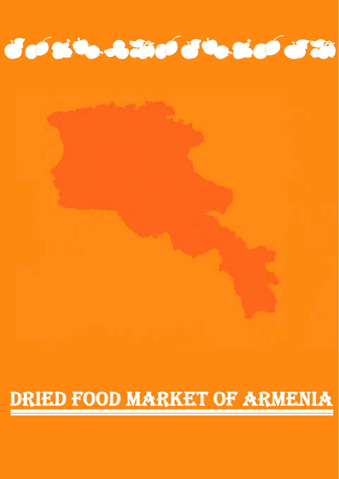# l DRIED FOOD MARKET OF ARMENIA i<br>I



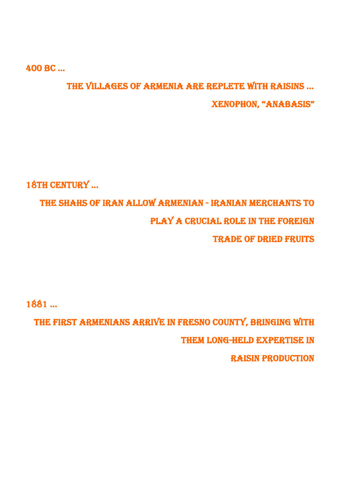400 BC …

# THE VILLAGES OF ARMENIA ARE REPLETE WITH RAISINS … XENOPHON, "ANABASIS"

18TH CENTURY …

THE SHAHS OF IRAN ALLOW ARMENIAN - IRANIAN MERCHANTS TO PLAY A CRUCIAL ROLE IN THE FOREIGN TRADE OF DRIED FRUITS

1881 …

 THE FIRST ARMENIANS ARRIVE IN FRESNO COUNTY, BRINGING WITH THEM LONG-HELD EXPERTISE IN RAISIN PRODUCTION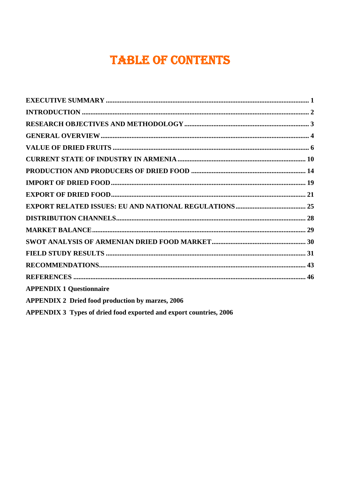# **TABLE OF CONTENTS**

| <b>APPENDIX 1 Questionnaire</b>                                    |
|--------------------------------------------------------------------|
| <b>APPENDIX 2 Dried food production by marzes, 2006</b>            |
| APPENDIX 3 Types of dried food exported and export countries, 2006 |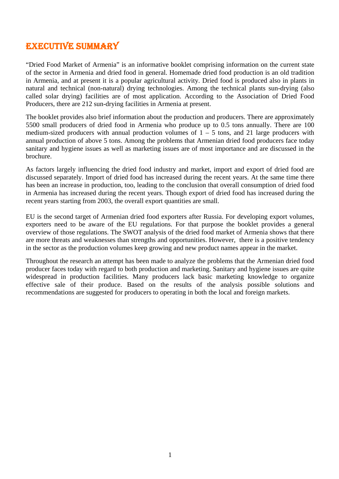# EXECUTIVE SUMMARY

"Dried Food Market of Armenia" is an informative booklet comprising information on the current state of the sector in Armenia and dried food in general. Homemade dried food production is an old tradition in Armenia, and at present it is a popular agricultural activity. Dried food is produced also in plants in natural and technical (non-natural) drying technologies. Among the technical plants sun-drying (also called solar drying) facilities are of most application. According to the Association of Dried Food Producers, there are 212 sun-drying facilities in Armenia at present.

The booklet provides also brief information about the production and producers. There are approximately 5500 small producers of dried food in Armenia who produce up to 0.5 tons annually. There are 100 medium-sized producers with annual production volumes of  $1 - 5$  tons, and 21 large producers with annual production of above 5 tons. Among the problems that Armenian dried food producers face today sanitary and hygiene issues as well as marketing issues are of most importance and are discussed in the brochure.

As factors largely influencing the dried food industry and market, import and export of dried food are discussed separately. Import of dried food has increased during the recent years. At the same time there has been an increase in production, too, leading to the conclusion that overall consumption of dried food in Armenia has increased during the recent years. Though export of dried food has increased during the recent years starting from 2003, the overall export quantities are small.

EU is the second target of Armenian dried food exporters after Russia. For developing export volumes, exporters need to be aware of the EU regulations. For that purpose the booklet provides a general overview of those regulations. The SWOT analysis of the dried food market of Armenia shows that there are more threats and weaknesses than strengths and opportunities. However, there is a positive tendency in the sector as the production volumes keep growing and new product names appear in the market.

Throughout the research an attempt has been made to analyze the problems that the Armenian dried food producer faces today with regard to both production and marketing. Sanitary and hygiene issues are quite widespread in production facilities. Many producers lack basic marketing knowledge to organize effective sale of their produce. Based on the results of the analysis possible solutions and recommendations are suggested for producers to operating in both the local and foreign markets.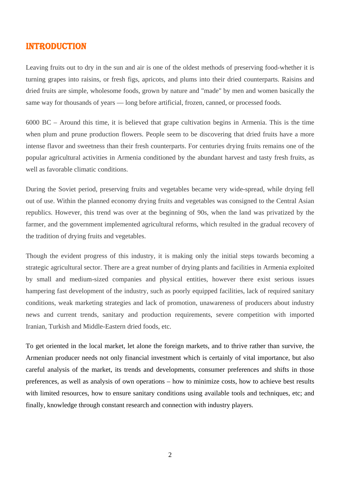### INTRODUCTION

Leaving fruits out to dry in the sun and air is one of the oldest methods of preserving food-whether it is turning grapes into raisins, or fresh figs, apricots, and plums into their dried counterparts. Raisins and dried fruits are simple, wholesome foods, grown by nature and "made" by men and women basically the same way for thousands of years — long before artificial, frozen, canned, or processed foods.

6000 BC – Around this time, it is believed that grape cultivation begins in Armenia. This is the time when plum and prune production flowers. People seem to be discovering that dried fruits have a more intense flavor and sweetness than their fresh counterparts. For centuries drying fruits remains one of the popular agricultural activities in Armenia conditioned by the abundant harvest and tasty fresh fruits, as well as favorable climatic conditions.

During the Soviet period, preserving fruits and vegetables became very wide-spread, while drying fell out of use. Within the planned economy drying fruits and vegetables was consigned to the Central Asian republics. However, this trend was over at the beginning of 90s, when the land was privatized by the farmer, and the government implemented agricultural reforms, which resulted in the gradual recovery of the tradition of drying fruits and vegetables.

Though the evident progress of this industry, it is making only the initial steps towards becoming a strategic agricultural sector. There are a great number of drying plants and facilities in Armenia exploited by small and medium-sized companies and physical entities, however there exist serious issues hampering fast development of the industry, such as poorly equipped facilities, lack of required sanitary conditions, weak marketing strategies and lack of promotion, unawareness of producers about industry news and current trends, sanitary and production requirements, severe competition with imported Iranian, Turkish and Middle-Eastern dried foods, etc.

To get oriented in the local market, let alone the foreign markets, and to thrive rather than survive, the Armenian producer needs not only financial investment which is certainly of vital importance, but also careful analysis of the market, its trends and developments, consumer preferences and shifts in those preferences, as well as analysis of own operations – how to minimize costs, how to achieve best results with limited resources, how to ensure sanitary conditions using available tools and techniques, etc; and finally, knowledge through constant research and connection with industry players.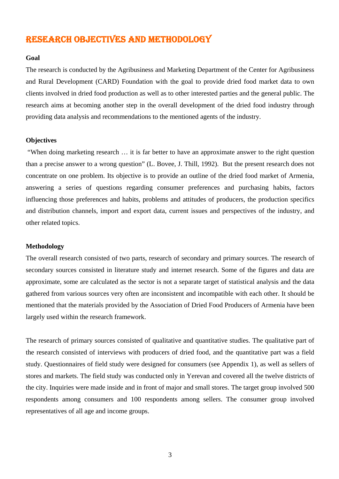# RESEARCH OBJECTIVES AND METHODOLOGY

#### **Goal**

The research is conducted by the Agribusiness and Marketing Department of the Center for Agribusiness and Rural Development (CARD) Foundation with the goal to provide dried food market data to own clients involved in dried food production as well as to other interested parties and the general public. The research aims at becoming another step in the overall development of the dried food industry through providing data analysis and recommendations to the mentioned agents of the industry.

#### **Objectives**

 "When doing marketing research … it is far better to have an approximate answer to the right question than a precise answer to a wrong question" (L. Bovee, J. Thill, 1992). But the present research does not concentrate on one problem. Its objective is to provide an outline of the dried food market of Armenia, answering a series of questions regarding consumer preferences and purchasing habits, factors influencing those preferences and habits, problems and attitudes of producers, the production specifics and distribution channels, import and export data, current issues and perspectives of the industry, and other related topics.

#### **Methodology**

The overall research consisted of two parts, research of secondary and primary sources. The research of secondary sources consisted in literature study and internet research. Some of the figures and data are approximate, some are calculated as the sector is not a separate target of statistical analysis and the data gathered from various sources very often are inconsistent and incompatible with each other. It should be mentioned that the materials provided by the Association of Dried Food Producers of Armenia have been largely used within the research framework.

The research of primary sources consisted of qualitative and quantitative studies. The qualitative part of the research consisted of interviews with producers of dried food, and the quantitative part was a field study. Questionnaires of field study were designed for consumers (see Appendix 1), as well as sellers of stores and markets. The field study was conducted only in Yerevan and covered all the twelve districts of the city. Inquiries were made inside and in front of major and small stores. The target group involved 500 respondents among consumers and 100 respondents among sellers. The consumer group involved representatives of all age and income groups.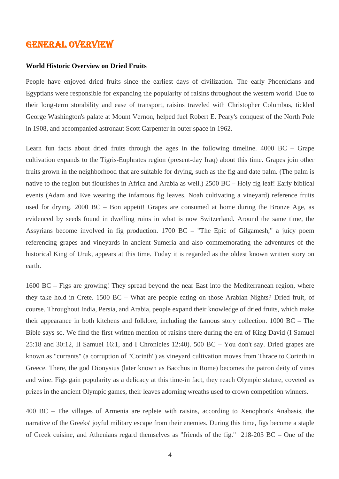### GENERAL OVERVIEW

#### **World Historic Overview on Dried Fruits**

People have enjoyed dried fruits since the earliest days of civilization. The early Phoenicians and Egyptians were responsible for expanding the popularity of raisins throughout the western world. Due to their long-term storability and ease of transport, raisins traveled with Christopher Columbus, tickled George Washington's palate at Mount Vernon, helped fuel Robert E. Peary's conquest of the North Pole in 1908, and accompanied astronaut Scott Carpenter in outer space in 1962.

Learn fun facts about dried fruits through the ages in the following timeline. 4000 BC – Grape cultivation expands to the Tigris-Euphrates region (present-day Iraq) about this time. Grapes join other fruits grown in the neighborhood that are suitable for drying, such as the fig and date palm. (The palm is native to the region but flourishes in Africa and Arabia as well.) 2500 BC – Holy fig leaf! Early biblical events (Adam and Eve wearing the infamous fig leaves, Noah cultivating a vineyard) reference fruits used for drying. 2000 BC – Bon appetit! Grapes are consumed at home during the Bronze Age, as evidenced by seeds found in dwelling ruins in what is now Switzerland. Around the same time, the Assyrians become involved in fig production. 1700 BC – "The Epic of Gilgamesh," a juicy poem referencing grapes and vineyards in ancient Sumeria and also commemorating the adventures of the historical King of Uruk, appears at this time. Today it is regarded as the oldest known written story on earth.

1600 BC – Figs are growing! They spread beyond the near East into the Mediterranean region, where they take hold in Crete. 1500 BC – What are people eating on those Arabian Nights? Dried fruit, of course. Throughout India, Persia, and Arabia, people expand their knowledge of dried fruits, which make their appearance in both kitchens and folklore, including the famous story collection. 1000 BC – The Bible says so. We find the first written mention of raisins there during the era of King David (I Samuel 25:18 and 30:12, II Samuel 16:1, and I Chronicles 12:40). 500 BC – You don't say. Dried grapes are known as "currants" (a corruption of "Corinth") as vineyard cultivation moves from Thrace to Corinth in Greece. There, the god Dionysius (later known as Bacchus in Rome) becomes the patron deity of vines and wine. Figs gain popularity as a delicacy at this time-in fact, they reach Olympic stature, coveted as prizes in the ancient Olympic games, their leaves adorning wreaths used to crown competition winners.

400 BC – The villages of Armenia are replete with raisins, according to Xenophon's Anabasis, the narrative of the Greeks' joyful military escape from their enemies. During this time, figs become a staple of Greek cuisine, and Athenians regard themselves as "friends of the fig." 218-203 BC – One of the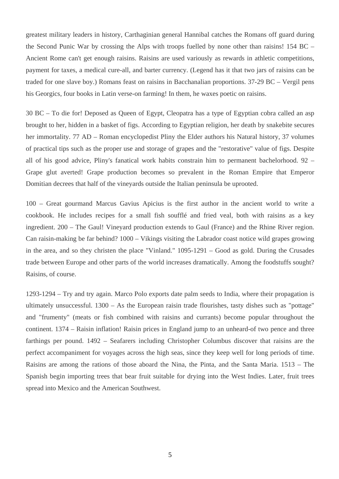greatest military leaders in history, Carthaginian general Hannibal catches the Romans off guard during the Second Punic War by crossing the Alps with troops fuelled by none other than raisins! 154 BC – Ancient Rome can't get enough raisins. Raisins are used variously as rewards in athletic competitions, payment for taxes, a medical cure-all, and barter currency. (Legend has it that two jars of raisins can be traded for one slave boy.) Romans feast on raisins in Bacchanalian proportions. 37-29 BC – Vergil pens his Georgics, four books in Latin verse-on farming! In them, he waxes poetic on raisins.

30 BC – To die for! Deposed as Queen of Egypt, Cleopatra has a type of Egyptian cobra called an asp brought to her, hidden in a basket of figs. According to Egyptian religion, her death by snakebite secures her immortality. 77 AD – Roman encyclopedist Pliny the Elder authors his Natural history, 37 volumes of practical tips such as the proper use and storage of grapes and the "restorative" value of figs. Despite all of his good advice, Pliny's fanatical work habits constrain him to permanent bachelorhood. 92 – Grape glut averted! Grape production becomes so prevalent in the Roman Empire that Emperor Domitian decrees that half of the vineyards outside the Italian peninsula be uprooted.

100 – Great gourmand Marcus Gavius Apicius is the first author in the ancient world to write a cookbook. He includes recipes for a small fish soufflé and fried veal, both with raisins as a key ingredient. 200 – The Gaul! Vineyard production extends to Gaul (France) and the Rhine River region. Can raisin-making be far behind? 1000 – Vikings visiting the Labrador coast notice wild grapes growing in the area, and so they christen the place "Vinland." 1095-1291 – Good as gold. During the Crusades trade between Europe and other parts of the world increases dramatically. Among the foodstuffs sought? Raisins, of course.

1293-1294 – Try and try again. Marco Polo exports date palm seeds to India, where their propagation is ultimately unsuccessful. 1300 – As the European raisin trade flourishes, tasty dishes such as "pottage" and "frumenty" (meats or fish combined with raisins and currants) become popular throughout the continent. 1374 – Raisin inflation! Raisin prices in England jump to an unheard-of two pence and three farthings per pound. 1492 – Seafarers including Christopher Columbus discover that raisins are the perfect accompaniment for voyages across the high seas, since they keep well for long periods of time. Raisins are among the rations of those aboard the Nina, the Pinta, and the Santa Maria. 1513 – The Spanish begin importing trees that bear fruit suitable for drying into the West Indies. Later, fruit trees spread into Mexico and the American Southwest.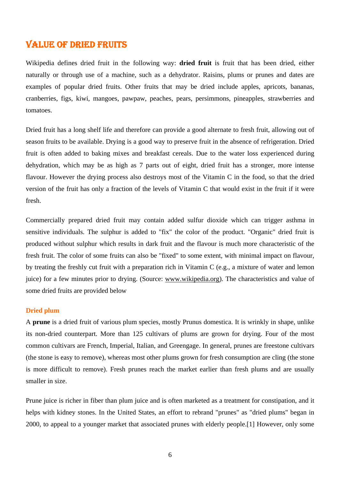### VALUE OF DRIED FRUITS

Wikipedia defines dried fruit in the following way: **dried fruit** is fruit that has been dried, either naturally or through use of a machine, such as a dehydrator. Raisins, plums or prunes and dates are examples of popular dried fruits. Other fruits that may be dried include apples, apricots, bananas, cranberries, figs, kiwi, mangoes, pawpaw, peaches, pears, persimmons, pineapples, strawberries and tomatoes.

Dried fruit has a long shelf life and therefore can provide a good alternate to fresh fruit, allowing out of season fruits to be available. Drying is a good way to preserve fruit in the absence of refrigeration. Dried fruit is often added to baking mixes and breakfast cereals. Due to the water loss experienced during dehydration, which may be as high as 7 parts out of eight, dried fruit has a stronger, more intense flavour. However the drying process also destroys most of the Vitamin C in the food, so that the dried version of the fruit has only a fraction of the levels of Vitamin C that would exist in the fruit if it were fresh.

Commercially prepared dried fruit may contain added sulfur dioxide which can trigger asthma in sensitive individuals. The sulphur is added to "fix" the color of the product. "Organic" dried fruit is produced without sulphur which results in dark fruit and the flavour is much more characteristic of the fresh fruit. The color of some fruits can also be "fixed" to some extent, with minimal impact on flavour, by treating the freshly cut fruit with a preparation rich in Vitamin C (e.g., a mixture of water and lemon juice) for a few minutes prior to drying. (Source: www.wikipedia.org). The characteristics and value of some dried fruits are provided below

#### **Dried plum**

A **prune** is a dried fruit of various plum species, mostly Prunus domestica. It is wrinkly in shape, unlike its non-dried counterpart. More than 125 cultivars of plums are grown for drying. Four of the most common cultivars are French, Imperial, Italian, and Greengage. In general, prunes are freestone cultivars (the stone is easy to remove), whereas most other plums grown for fresh consumption are cling (the stone is more difficult to remove). Fresh prunes reach the market earlier than fresh plums and are usually smaller in size.

Prune juice is richer in fiber than plum juice and is often marketed as a treatment for constipation, and it helps with kidney stones. In the United States, an effort to rebrand "prunes" as "dried plums" began in 2000, to appeal to a younger market that associated prunes with elderly people.[1] However, only some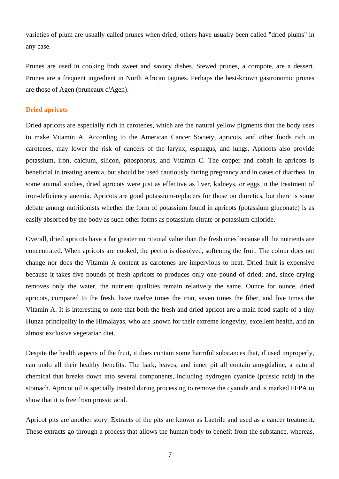varieties of plum are usually called prunes when dried; others have usually been called "dried plums" in any case.

Prunes are used in cooking both sweet and savory dishes. Stewed prunes, a compote, are a dessert. Prunes are a frequent ingredient in North African tagines. Perhaps the best-known gastronomic prunes are those of Agen (pruneaux d'Agen).

#### **Dried apricots**

Dried apricots are especially rich in carotenes, which are the natural yellow pigments that the body uses to make Vitamin A. According to the American Cancer Society, apricots, and other foods rich in carotenes, may lower the risk of cancers of the larynx, esphagus, and lungs. Apricots also provide potassium, iron, calcium, silicon, phosphorus, and Vitamin C. The copper and cobalt in apricots is beneficial in treating anemia, but should be used cautiously during pregnancy and in cases of diarrhea. In some animal studies, dried apricots were just as effective as liver, kidneys, or eggs in the treatment of iron-deficiency anemia. Apricots are good potassium-replacers for those on diuretics, but there is some debate among nutritionists whether the form of potassium found in apricots (potassium gluconate) is as easily absorbed by the body as such other forms as potassium citrate or potassium chloride.

Overall, dried apricots have a far greater nutritional value than the fresh ones because all the nutrients are concentrated. When apricots are cooked, the pectin is dissolved, softening the fruit. The colour does not change nor does the Vitamin A content as carotenes are impervious to heat. Dried fruit is expensive because it takes five pounds of fresh apricots to produces only one pound of dried; and, since drying removes only the water, the nutrient qualities remain relatively the same. Ounce for ounce, dried apricots, compared to the fresh, have twelve times the iron, seven times the fiber, and five times the Vitamin A. It is interesting to note that both the fresh and dried apricot are a main food staple of a tiny Hunza principality in the Himalayas, who are known for their extreme longevity, excellent health, and an almost exclusive vegetarian diet.

Despite the health aspects of the fruit, it does contain some harmful substances that, if used improperly, can undo all their healthy benefits. The bark, leaves, and inner pit all contain amygdaline, a natural chemical that breaks down into several components, including hydrogen cyanide (prussic acid) in the stomach. Apricot oil is specially treated during processing to remove the cyanide and is marked FFPA to show that it is free from prussic acid.

Apricot pits are another story. Extracts of the pits are known as Laetrile and used as a cancer treatment. These extracts go through a process that allows the human body to benefit from the substance, whereas,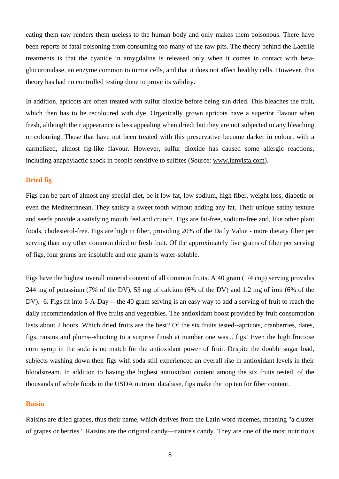eating them raw renders them useless to the human body and only makes them poisonous. There have been reports of fatal poisoning from consuming too many of the raw pits. The theory behind the Laetrile treatments is that the cyanide in amygdaline is released only when it comes in contact with betaglucuronidase, an enzyme common to tumor cells, and that it does not affect healthy cells. However, this theory has had no controlled testing done to prove its validity.

In addition, apricots are often treated with sulfur dioxide before being sun dried. This bleaches the fruit, which then has to be recoloured with dye. Organically grown apricots have a superior flavour when fresh, although their appearance is less appealing when dried; but they are not subjected to any bleaching or colouring. Those that have not been treated with this preservative become darker in colour, with a carmelized, almost fig-like flavour. However, sulfur dioxide has caused some allergic reactions, including anaphylactic shock in people sensitive to sulfites (Source: www.innvista.com).

#### **Dried fig**

Figs can be part of almost any special diet, be it low fat, low sodium, high fiber, weight loss, diabetic or even the Mediterranean. They satisfy a sweet tooth without adding any fat. Their unique satiny texture and seeds provide a satisfying mouth feel and crunch. Figs are fat-free, sodium-free and, like other plant foods, cholesterol-free. Figs are high in fiber, providing 20% of the Daily Value - more dietary fiber per serving than any other common dried or fresh fruit. Of the approximately five grams of fiber per serving of figs, four grams are insoluble and one gram is water-soluble.

Figs have the highest overall mineral content of all common fruits. A 40 gram (1/4 cup) serving provides 244 mg of potassium (7% of the DV), 53 mg of calcium (6% of the DV) and 1.2 mg of iron (6% of the DV). 6. Figs fit into 5-A-Day -- the 40 gram serving is an easy way to add a serving of fruit to reach the daily recommendation of five fruits and vegetables. The antioxidant boost provided by fruit consumption lasts about 2 hours. Which dried fruits are the best? Of the six fruits tested--apricots, cranberries, dates, figs, raisins and plums--shooting to a surprise finish at number one was... figs! Even the high fructose corn syrup in the soda is no match for the antioxidant power of fruit. Despite the double sugar load, subjects washing down their figs with soda still experienced an overall rise in antioxidant levels in their bloodstream. In addition to having the highest antioxidant content among the six fruits tested, of the thousands of whole foods in the USDA nutrient database, figs make the top ten for fiber content.

#### **Raisin**

Raisins are dried grapes, thus their name, which derives from the Latin word racemes, meaning "a cluster of grapes or berries." Raisins are the original candy—nature's candy. They are one of the most nutritious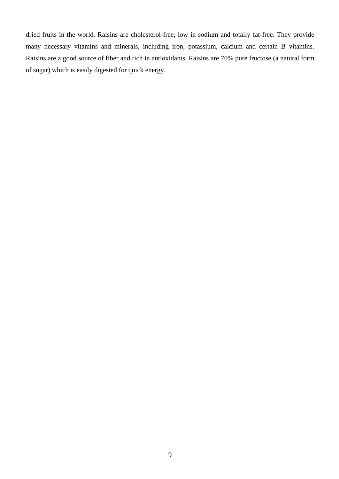dried fruits in the world. Raisins are cholesterol-free, low in sodium and totally fat-free. They provide many necessary vitamins and minerals, including iron, potassium, calcium and certain B vitamins. Raisins are a good source of fiber and rich in antioxidants. Raisins are 70% pure fructose (a natural form of sugar) which is easily digested for quick energy.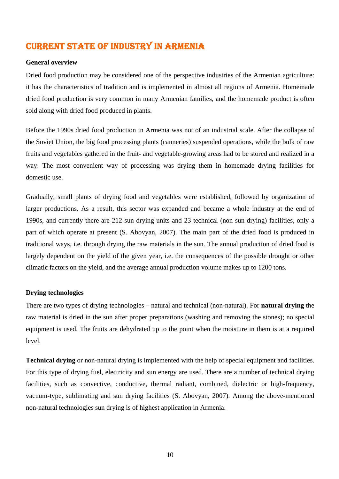# CURRENT STATE OF INDUSTRY IN ARMENIA

#### **General overview**

Dried food production may be considered one of the perspective industries of the Armenian agriculture: it has the characteristics of tradition and is implemented in almost all regions of Armenia. Homemade dried food production is very common in many Armenian families, and the homemade product is often sold along with dried food produced in plants.

Before the 1990s dried food production in Armenia was not of an industrial scale. After the collapse of the Soviet Union, the big food processing plants (canneries) suspended operations, while the bulk of raw fruits and vegetables gathered in the fruit- and vegetable-growing areas had to be stored and realized in a way. The most convenient way of processing was drying them in homemade drying facilities for domestic use.

Gradually, small plants of drying food and vegetables were established, followed by organization of larger productions. As a result, this sector was expanded and became a whole industry at the end of 1990s, and currently there are 212 sun drying units and 23 technical (non sun drying) facilities, only a part of which operate at present (S. Abovyan, 2007). The main part of the dried food is produced in traditional ways, i.e. through drying the raw materials in the sun. The annual production of dried food is largely dependent on the yield of the given year, i.e. the consequences of the possible drought or other climatic factors on the yield, and the average annual production volume makes up to 1200 tons.

#### **Drying technologies**

There are two types of drying technologies – natural and technical (non-natural). For **natural drying** the raw material is dried in the sun after proper preparations (washing and removing the stones); no special equipment is used. The fruits are dehydrated up to the point when the moisture in them is at a required level.

**Technical drying** or non-natural drying is implemented with the help of special equipment and facilities. For this type of drying fuel, electricity and sun energy are used. There are a number of technical drying facilities, such as convective, conductive, thermal radiant, combined, dielectric or high-frequency, vacuum-type, sublimating and sun drying facilities (S. Abovyan, 2007). Among the above-mentioned non-natural technologies sun drying is of highest application in Armenia.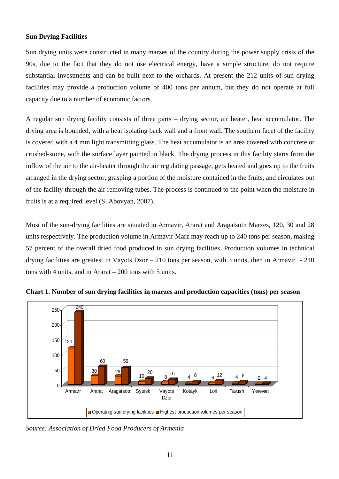#### **Sun Drying Facilities**

Sun drying units were constructed in many marzes of the country during the power supply crisis of the 90s, due to the fact that they do not use electrical energy, have a simple structure, do not require substantial investments and can be built next to the orchards. At present the 212 units of sun drying facilities may provide a production volume of 400 tons per annum, but they do not operate at full capacity due to a number of economic factors.

A regular sun drying facility consists of three parts – drying sector, air heater, heat accumulator. The drying area is bounded, with a heat isolating back wall and a front wall. The southern facet of the facility is covered with a 4 mm light transmitting glass. The heat accumulator is an area covered with concrete or crushed-stone, with the surface layer painted in black. The drying process in this facility starts from the inflow of the air to the air-heater through the air regulating passage, gets heated and goes up to the fruits arranged in the drying sector, grasping a portion of the moisture contained in the fruits, and circulates out of the facility through the air removing tubes. The process is continued to the point when the moisture in fruits is at a required level (S. Abovyan, 2007).

Most of the sun-drying facilities are situated in Armavir, Ararat and Aragatsotn Marzes, 120, 30 and 28 units respectively. The production volume in Armavir Marz may reach up to 240 tons per season, making 57 percent of the overall dried food produced in sun drying facilities. Production volumes in technical drying facilities are greatest in Vayots Dzor – 210 tons per season, with 3 units, then in Armavir - 210 tons with 4 units, and in Ararat – 200 tons with 5 units.



**Chart 1. Number of sun drying facilities in marzes and production capacities (tons) per season** 

*Source: Association of Dried Food Producers of Armenia*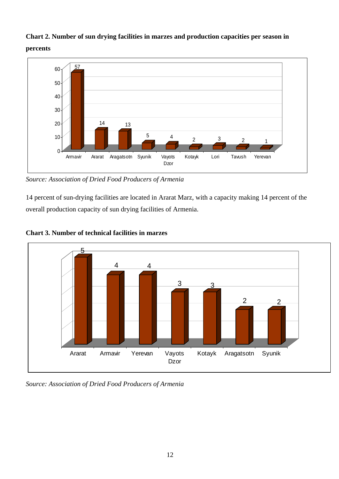## **Chart 2. Number of sun drying facilities in marzes and production capacities per season in percents**



*Source: Association of Dried Food Producers of Armenia* 

14 percent of sun-drying facilities are located in Ararat Marz, with a capacity making 14 percent of the overall production capacity of sun drying facilities of Armenia.



**Chart 3. Number of technical facilities in marzes** 

*Source: Association of Dried Food Producers of Armenia*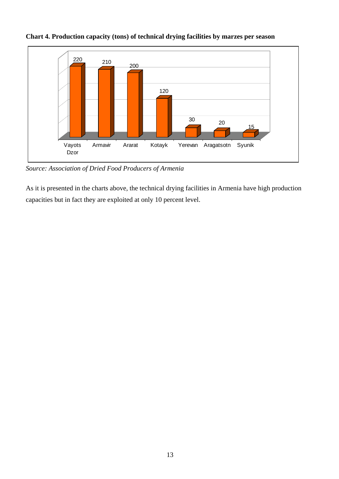

**Chart 4. Production capacity (tons) of technical drying facilities by marzes per season** 

*Source: Association of Dried Food Producers of Armenia* 

As it is presented in the charts above, the technical drying facilities in Armenia have high production capacities but in fact they are exploited at only 10 percent level.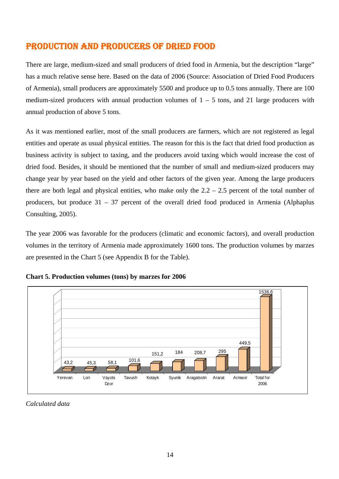# PRODUCTION AND PRODUCERS OF DRIED FOOD

There are large, medium-sized and small producers of dried food in Armenia, but the description "large" has a much relative sense here. Based on the data of 2006 (Source: Association of Dried Food Producers of Armenia), small producers are approximately 5500 and produce up to 0.5 tons annually. There are 100 medium-sized producers with annual production volumes of  $1 - 5$  tons, and 21 large producers with annual production of above 5 tons.

As it was mentioned earlier, most of the small producers are farmers, which are not registered as legal entities and operate as usual physical entities. The reason for this is the fact that dried food production as business activity is subject to taxing, and the producers avoid taxing which would increase the cost of dried food. Besides, it should be mentioned that the number of small and medium-sized producers may change year by year based on the yield and other factors of the given year. Among the large producers there are both legal and physical entities, who make only the  $2.2 - 2.5$  percent of the total number of producers, but produce 31 – 37 percent of the overall dried food produced in Armenia (Alphaplus Consulting, 2005).

The year 2006 was favorable for the producers (climatic and economic factors), and overall production volumes in the territory of Armenia made approximately 1600 tons. The production volumes by marzes are presented in the Chart 5 (see Appendix B for the Table).



**Chart 5. Production volumes (tons) by marzes for 2006**

*Calculated data*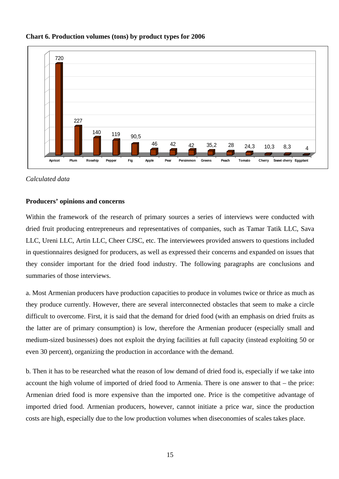

#### **Chart 6. Production volumes (tons) by product types for 2006**

*Calculated data* 

#### **Producers' opinions and concerns**

Within the framework of the research of primary sources a series of interviews were conducted with dried fruit producing entrepreneurs and representatives of companies, such as Tamar Tatik LLC, Sava LLC, Ureni LLC, Artin LLC, Cheer CJSC, etc. The interviewees provided answers to questions included in questionnaires designed for producers, as well as expressed their concerns and expanded on issues that they consider important for the dried food industry. The following paragraphs are conclusions and summaries of those interviews.

a. Most Armenian producers have production capacities to produce in volumes twice or thrice as much as they produce currently. However, there are several interconnected obstacles that seem to make a circle difficult to overcome. First, it is said that the demand for dried food (with an emphasis on dried fruits as the latter are of primary consumption) is low, therefore the Armenian producer (especially small and medium-sized businesses) does not exploit the drying facilities at full capacity (instead exploiting 50 or even 30 percent), organizing the production in accordance with the demand.

b. Then it has to be researched what the reason of low demand of dried food is, especially if we take into account the high volume of imported of dried food to Armenia. There is one answer to that – the price: Armenian dried food is more expensive than the imported one. Price is the competitive advantage of imported dried food. Armenian producers, however, cannot initiate a price war, since the production costs are high, especially due to the low production volumes when diseconomies of scales takes place.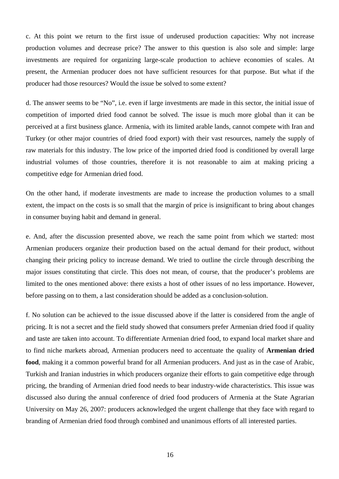c. At this point we return to the first issue of underused production capacities: Why not increase production volumes and decrease price? The answer to this question is also sole and simple: large investments are required for organizing large-scale production to achieve economies of scales. At present, the Armenian producer does not have sufficient resources for that purpose. But what if the producer had those resources? Would the issue be solved to some extent?

d. The answer seems to be "No", i.e. even if large investments are made in this sector, the initial issue of competition of imported dried food cannot be solved. The issue is much more global than it can be perceived at a first business glance. Armenia, with its limited arable lands, cannot compete with Iran and Turkey (or other major countries of dried food export) with their vast resources, namely the supply of raw materials for this industry. The low price of the imported dried food is conditioned by overall large industrial volumes of those countries, therefore it is not reasonable to aim at making pricing a competitive edge for Armenian dried food.

On the other hand, if moderate investments are made to increase the production volumes to a small extent, the impact on the costs is so small that the margin of price is insignificant to bring about changes in consumer buying habit and demand in general.

e. And, after the discussion presented above, we reach the same point from which we started: most Armenian producers organize their production based on the actual demand for their product, without changing their pricing policy to increase demand. We tried to outline the circle through describing the major issues constituting that circle. This does not mean, of course, that the producer's problems are limited to the ones mentioned above: there exists a host of other issues of no less importance. However, before passing on to them, a last consideration should be added as a conclusion-solution.

f. No solution can be achieved to the issue discussed above if the latter is considered from the angle of pricing. It is not a secret and the field study showed that consumers prefer Armenian dried food if quality and taste are taken into account. To differentiate Armenian dried food, to expand local market share and to find niche markets abroad, Armenian producers need to accentuate the quality of **Armenian dried food**, making it a common powerful brand for all Armenian producers. And just as in the case of Arabic, Turkish and Iranian industries in which producers organize their efforts to gain competitive edge through pricing, the branding of Armenian dried food needs to bear industry-wide characteristics. This issue was discussed also during the annual conference of dried food producers of Armenia at the State Agrarian University on May 26, 2007: producers acknowledged the urgent challenge that they face with regard to branding of Armenian dried food through combined and unanimous efforts of all interested parties.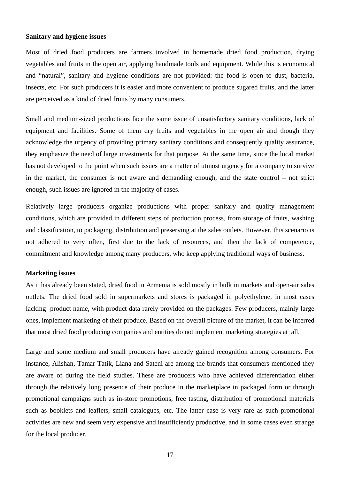#### **Sanitary and hygiene issues**

Most of dried food producers are farmers involved in homemade dried food production, drying vegetables and fruits in the open air, applying handmade tools and equipment. While this is economical and "natural", sanitary and hygiene conditions are not provided: the food is open to dust, bacteria, insects, etc. For such producers it is easier and more convenient to produce sugared fruits, and the latter are perceived as a kind of dried fruits by many consumers.

Small and medium-sized productions face the same issue of unsatisfactory sanitary conditions, lack of equipment and facilities. Some of them dry fruits and vegetables in the open air and though they acknowledge the urgency of providing primary sanitary conditions and consequently quality assurance, they emphasize the need of large investments for that purpose. At the same time, since the local market has not developed to the point when such issues are a matter of utmost urgency for a company to survive in the market, the consumer is not aware and demanding enough, and the state control – not strict enough, such issues are ignored in the majority of cases.

Relatively large producers organize productions with proper sanitary and quality management conditions, which are provided in different steps of production process, from storage of fruits, washing and classification, to packaging, distribution and preserving at the sales outlets. However, this scenario is not adhered to very often, first due to the lack of resources, and then the lack of competence, commitment and knowledge among many producers, who keep applying traditional ways of business.

#### **Marketing issues**

As it has already been stated, dried food in Armenia is sold mostly in bulk in markets and open-air sales outlets. The dried food sold in supermarkets and stores is packaged in polyethylene, in most cases lacking product name, with product data rarely provided on the packages. Few producers, mainly large ones, implement marketing of their produce. Based on the overall picture of the market, it can be inferred that most dried food producing companies and entities do not implement marketing strategies at all.

Large and some medium and small producers have already gained recognition among consumers. For instance, Alishan, Tamar Tatik, Liana and Sateni are among the brands that consumers mentioned they are aware of during the field studies. These are producers who have achieved differentiation either through the relatively long presence of their produce in the marketplace in packaged form or through promotional campaigns such as in-store promotions, free tasting, distribution of promotional materials such as booklets and leaflets, small catalogues, etc. The latter case is very rare as such promotional activities are new and seem very expensive and insufficiently productive, and in some cases even strange for the local producer.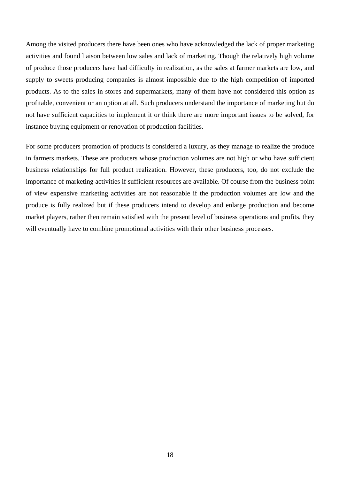Among the visited producers there have been ones who have acknowledged the lack of proper marketing activities and found liaison between low sales and lack of marketing. Though the relatively high volume of produce those producers have had difficulty in realization, as the sales at farmer markets are low, and supply to sweets producing companies is almost impossible due to the high competition of imported products. As to the sales in stores and supermarkets, many of them have not considered this option as profitable, convenient or an option at all. Such producers understand the importance of marketing but do not have sufficient capacities to implement it or think there are more important issues to be solved, for instance buying equipment or renovation of production facilities.

For some producers promotion of products is considered a luxury, as they manage to realize the produce in farmers markets. These are producers whose production volumes are not high or who have sufficient business relationships for full product realization. However, these producers, too, do not exclude the importance of marketing activities if sufficient resources are available. Of course from the business point of view expensive marketing activities are not reasonable if the production volumes are low and the produce is fully realized but if these producers intend to develop and enlarge production and become market players, rather then remain satisfied with the present level of business operations and profits, they will eventually have to combine promotional activities with their other business processes.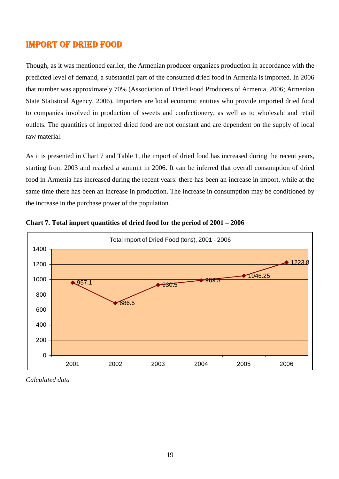### IMPORT OF DRIED FOOD

Though, as it was mentioned earlier, the Armenian producer organizes production in accordance with the predicted level of demand, a substantial part of the consumed dried food in Armenia is imported. In 2006 that number was approximately 70% (Association of Dried Food Producers of Armenia, 2006; Armenian State Statistical Agency, 2006). Importers are local economic entities who provide imported dried food to companies involved in production of sweets and confectionery, as well as to wholesale and retail outlets. The quantities of imported dried food are not constant and are dependent on the supply of local raw material.

As it is presented in Chart 7 and Table 1, the import of dried food has increased during the recent years, starting from 2003 and reached a summit in 2006. It can be inferred that overall consumption of dried food in Armenia has increased during the recent years: there has been an increase in import, while at the same time there has been an increase in production. The increase in consumption may be conditioned by the increase in the purchase power of the population.





*Calculated data*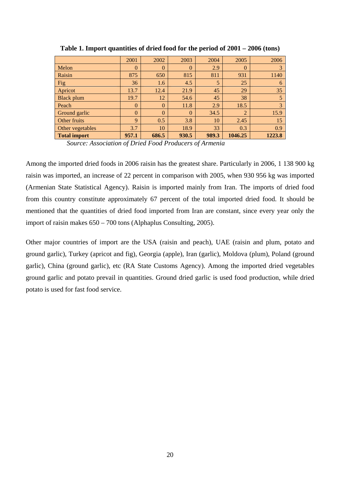|                     | 2001           | 2002     | 2003     | 2004  | 2005           | 2006   |
|---------------------|----------------|----------|----------|-------|----------------|--------|
| Melon               | $\overline{0}$ | $\theta$ | $\theta$ | 2.9   | $\theta$       |        |
| Raisin              | 875            | 650      | 815      | 811   | 931            | 1140   |
| Fig                 | 36             | 1.6      | 4.5      | 5     | 25             | 6      |
| Apricot             | 13.7           | 12.4     | 21.9     | 45    | 29             | 35     |
| <b>Black plum</b>   | 19.7           | 12       | 54.6     | 45    | 38             |        |
| Peach               | $\theta$       | $\Omega$ | 11.8     | 2.9   | 18.5           | 3      |
| Ground garlic       | $\theta$       | $\theta$ | $\theta$ | 34.5  | $\overline{2}$ | 15.9   |
| Other fruits        | 9              | 0.5      | 3.8      | 10    | 2.45           | 15     |
| Other vegetables    | 3.7            | 10       | 18.9     | 33    | 0.3            | 0.9    |
| <b>Total import</b> | 957.1          | 686.5    | 930.5    | 989.3 | 1046.25        | 1223.8 |

**Table 1. Import quantities of dried food for the period of 2001 – 2006 (tons)** 

*Source: Association of Dried Food Producers of Armenia*

Among the imported dried foods in 2006 raisin has the greatest share. Particularly in 2006, 1 138 900 kg raisin was imported, an increase of 22 percent in comparison with 2005, when 930 956 kg was imported (Armenian State Statistical Agency). Raisin is imported mainly from Iran. The imports of dried food from this country constitute approximately 67 percent of the total imported dried food. It should be mentioned that the quantities of dried food imported from Iran are constant, since every year only the import of raisin makes 650 – 700 tons (Alphaplus Consulting, 2005).

Other major countries of import are the USA (raisin and peach), UAE (raisin and plum, potato and ground garlic), Turkey (apricot and fig), Georgia (apple), Iran (garlic), Moldova (plum), Poland (ground garlic), China (ground garlic), etc (RA State Customs Agency). Among the imported dried vegetables ground garlic and potato prevail in quantities. Ground dried garlic is used food production, while dried potato is used for fast food service.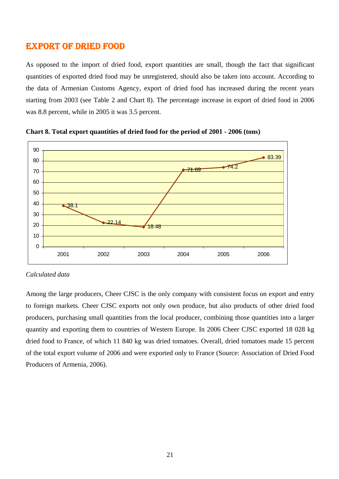### EXPORT OF DRIED FOOD

As opposed to the import of dried food, export quantities are small, though the fact that significant quantities of exported dried food may be unregistered, should also be taken into account. According to the data of Armenian Customs Agency, export of dried food has increased during the recent years starting from 2003 (see Table 2 and Chart 8). The percentage increase in export of dried food in 2006 was 8.8 percent, while in 2005 it was 3.5 percent.





#### *Calculated data*

Among the large producers, Cheer CJSC is the only company with consistent focus on export and entry to foreign markets. Cheer CJSC exports not only own produce, but also products of other dried food producers, purchasing small quantities from the local producer, combining those quantities into a larger quantity and exporting them to countries of Western Europe. In 2006 Cheer CJSC exported 18 028 kg dried food to France, of which 11 840 kg was dried tomatoes. Overall, dried tomatoes made 15 percent of the total export volume of 2006 and were exported only to France (Source: Association of Dried Food Producers of Armenia, 2006).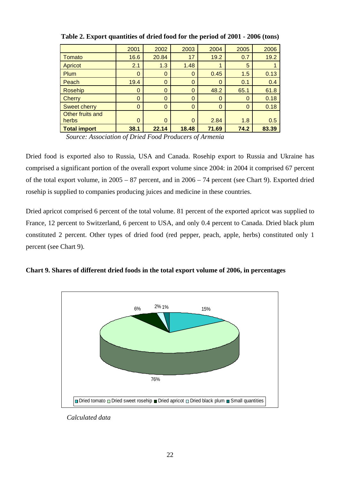|                     | 2001 | 2002        | 2003     | 2004     | 2005        | 2006  |
|---------------------|------|-------------|----------|----------|-------------|-------|
| Tomato              | 16.6 | 20.84       | 17       | 19.2     | 0.7         | 19.2  |
| <b>Apricot</b>      | 2.1  | 1.3         | 1.48     | 1        | 5           |       |
| Plum                | 0    | $\mathbf 0$ | 0        | 0.45     | 1.5         | 0.13  |
| Peach               | 19.4 | $\mathbf 0$ | 0        | 0        | 0.1         | 0.4   |
| <b>Rosehip</b>      | 0    | $\mathbf 0$ | 0        | 48.2     | 65.1        | 61.8  |
| Cherry              | 0    | $\mathbf 0$ | $\Omega$ | $\Omega$ | $\mathbf 0$ | 0.18  |
| <b>Sweet cherry</b> | 0    | $\mathbf 0$ | 0        | $\Omega$ | $\Omega$    | 0.18  |
| Other fruits and    |      |             |          |          |             |       |
| herbs               | 0    | 0           | $\Omega$ | 2.84     | 1.8         | 0.5   |
| <b>Total import</b> | 38.1 | 22.14       | 18.48    | 71.69    | 74.2        | 83.39 |

**Table 2. Export quantities of dried food for the period of 2001 - 2006 (tons)** 

*Source: Association of Dried Food Producers of Armenia* 

Dried food is exported also to Russia, USA and Canada. Rosehip export to Russia and Ukraine has comprised a significant portion of the overall export volume since 2004: in 2004 it comprised 67 percent of the total export volume, in 2005 – 87 percent, and in 2006 – 74 percent (see Chart 9). Exported dried rosehip is supplied to companies producing juices and medicine in these countries.

Dried apricot comprised 6 percent of the total volume. 81 percent of the exported apricot was supplied to France, 12 percent to Switzerland, 6 percent to USA, and only 0.4 percent to Canada. Dried black plum constituted 2 percent. Other types of dried food (red pepper, peach, apple, herbs) constituted only 1 percent (see Chart 9).





*Calculated data*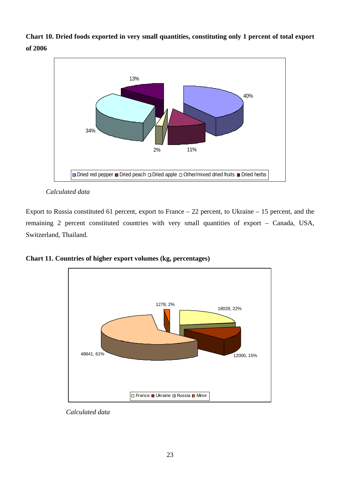**Chart 10. Dried foods exported in very small quantities, constituting only 1 percent of total export of 2006** 



*Calculated data* 

Export to Russia constituted 61 percent, export to France – 22 percent, to Ukraine – 15 percent, and the remaining 2 percent constituted countries with very small quantities of export – Canada, USA, Switzerland, Thailand.

**Chart 11. Countries of higher export volumes (kg, percentages)** 



*Calculated data*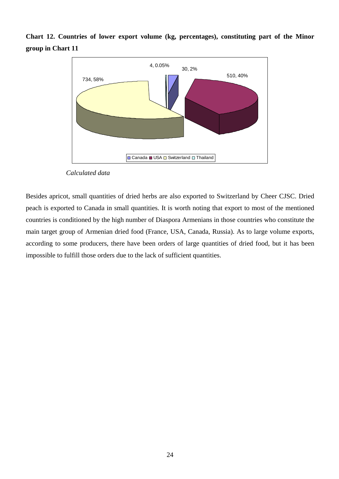

**Chart 12. Countries of lower export volume (kg, percentages), constituting part of the Minor group in Chart 11** 

Besides apricot, small quantities of dried herbs are also exported to Switzerland by Cheer CJSC. Dried peach is exported to Canada in small quantities. It is worth noting that export to most of the mentioned countries is conditioned by the high number of Diaspora Armenians in those countries who constitute the main target group of Armenian dried food (France, USA, Canada, Russia). As to large volume exports, according to some producers, there have been orders of large quantities of dried food, but it has been impossible to fulfill those orders due to the lack of sufficient quantities.

*Calculated data*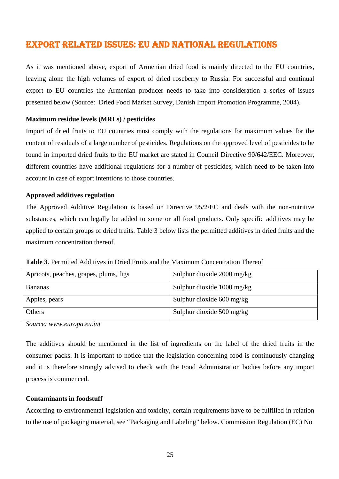# EXPORT RELATED ISSUES: EU AND NATIONAL REGULATIONS

As it was mentioned above, export of Armenian dried food is mainly directed to the EU countries, leaving alone the high volumes of export of dried roseberry to Russia. For successful and continual export to EU countries the Armenian producer needs to take into consideration a series of issues presented below (Source: Dried Food Market Survey, Danish Import Promotion Programme, 2004).

#### **Maximum residue levels (MRLs) / pesticides**

Import of dried fruits to EU countries must comply with the regulations for maximum values for the content of residuals of a large number of pesticides. Regulations on the approved level of pesticides to be found in imported dried fruits to the EU market are stated in Council Directive 90/642/EEC. Moreover, different countries have additional regulations for a number of pesticides, which need to be taken into account in case of export intentions to those countries.

#### **Approved additives regulation**

The Approved Additive Regulation is based on Directive 95/2/EC and deals with the non-nutritive substances, which can legally be added to some or all food products. Only specific additives may be applied to certain groups of dried fruits. Table 3 below lists the permitted additives in dried fruits and the maximum concentration thereof.

**Table 3**. Permitted Additives in Dried Fruits and the Maximum Concentration Thereof

| Apricots, peaches, grapes, plums, figs | Sulphur dioxide $2000 \text{ mg/kg}$ |
|----------------------------------------|--------------------------------------|
| <b>Bananas</b>                         | Sulphur dioxide $1000 \text{ mg/kg}$ |
| Apples, pears                          | Sulphur dioxide $600 \text{ mg/kg}$  |
| Others                                 | Sulphur dioxide $500 \text{ mg/kg}$  |

*Source: www.europa.eu.int* 

The additives should be mentioned in the list of ingredients on the label of the dried fruits in the consumer packs. It is important to notice that the legislation concerning food is continuously changing and it is therefore strongly advised to check with the Food Administration bodies before any import process is commenced.

#### **Contaminants in foodstuff**

According to environmental legislation and toxicity, certain requirements have to be fulfilled in relation to the use of packaging material, see "Packaging and Labeling" below. Commission Regulation (EC) No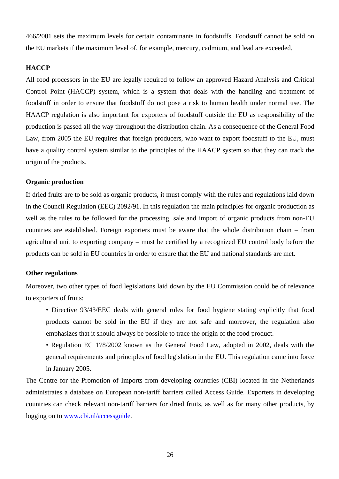466/2001 sets the maximum levels for certain contaminants in foodstuffs. Foodstuff cannot be sold on the EU markets if the maximum level of, for example, mercury, cadmium, and lead are exceeded.

#### **HACCP**

All food processors in the EU are legally required to follow an approved Hazard Analysis and Critical Control Point (HACCP) system, which is a system that deals with the handling and treatment of foodstuff in order to ensure that foodstuff do not pose a risk to human health under normal use. The HAACP regulation is also important for exporters of foodstuff outside the EU as responsibility of the production is passed all the way throughout the distribution chain. As a consequence of the General Food Law, from 2005 the EU requires that foreign producers, who want to export foodstuff to the EU, must have a quality control system similar to the principles of the HAACP system so that they can track the origin of the products.

#### **Organic production**

If dried fruits are to be sold as organic products, it must comply with the rules and regulations laid down in the Council Regulation (EEC) 2092/91. In this regulation the main principles for organic production as well as the rules to be followed for the processing, sale and import of organic products from non-EU countries are established. Foreign exporters must be aware that the whole distribution chain – from agricultural unit to exporting company – must be certified by a recognized EU control body before the products can be sold in EU countries in order to ensure that the EU and national standards are met.

#### **Other regulations**

Moreover, two other types of food legislations laid down by the EU Commission could be of relevance to exporters of fruits:

- Directive 93/43/EEC deals with general rules for food hygiene stating explicitly that food products cannot be sold in the EU if they are not safe and moreover, the regulation also emphasizes that it should always be possible to trace the origin of the food product.
- Regulation EC 178/2002 known as the General Food Law, adopted in 2002, deals with the general requirements and principles of food legislation in the EU. This regulation came into force in January 2005.

The Centre for the Promotion of Imports from developing countries (CBI) located in the Netherlands administrates a database on European non-tariff barriers called Access Guide. Exporters in developing countries can check relevant non-tariff barriers for dried fruits, as well as for many other products, by logging on to www.cbi.nl/accessguide.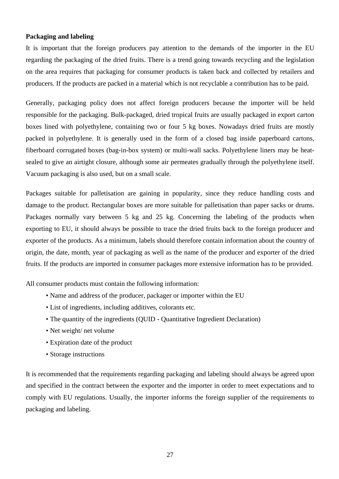#### **Packaging and labeling**

It is important that the foreign producers pay attention to the demands of the importer in the EU regarding the packaging of the dried fruits. There is a trend going towards recycling and the legislation on the area requires that packaging for consumer products is taken back and collected by retailers and producers. If the products are packed in a material which is not recyclable a contribution has to be paid.

Generally, packaging policy does not affect foreign producers because the importer will be held responsible for the packaging. Bulk-packaged, dried tropical fruits are usually packaged in export carton boxes lined with polyethylene, containing two or four 5 kg boxes. Nowadays dried fruits are mostly packed in polyethylene. It is generally used in the form of a closed bag inside paperboard cartons, fiberboard corrugated boxes (bag-in-box system) or multi-wall sacks. Polyethylene liners may be heatsealed to give an airtight closure, although some air permeates gradually through the polyethylene itself. Vacuum packaging is also used, but on a small scale.

Packages suitable for palletisation are gaining in popularity, since they reduce handling costs and damage to the product. Rectangular boxes are more suitable for palletisation than paper sacks or drums. Packages normally vary between 5 kg and 25 kg. Concerning the labeling of the products when exporting to EU, it should always be possible to trace the dried fruits back to the foreign producer and exporter of the products. As a minimum, labels should therefore contain information about the country of origin, the date, month, year of packaging as well as the name of the producer and exporter of the dried fruits. If the products are imported in consumer packages more extensive information has to be provided.

All consumer products must contain the following information:

- Name and address of the producer, packager or importer within the EU
- List of ingredients, including additives, colorants etc.
- The quantity of the ingredients (QUID Quantitative Ingredient Declaration)
- Net weight/ net volume
- Expiration date of the product
- Storage instructions

It is recommended that the requirements regarding packaging and labeling should always be agreed upon and specified in the contract between the exporter and the importer in order to meet expectations and to comply with EU regulations. Usually, the importer informs the foreign supplier of the requirements to packaging and labeling.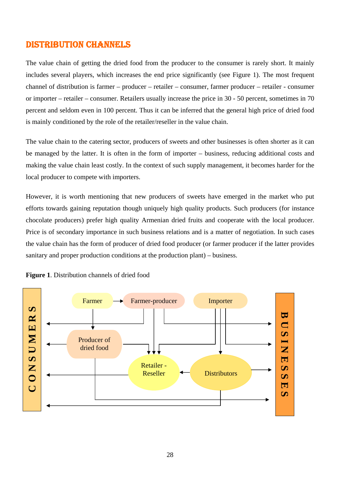# DISTRIBUTION CHANNELS

The value chain of getting the dried food from the producer to the consumer is rarely short. It mainly includes several players, which increases the end price significantly (see Figure 1). The most frequent channel of distribution is farmer – producer – retailer – consumer, farmer producer – retailer - consumer or importer – retailer – consumer. Retailers usually increase the price in 30 - 50 percent, sometimes in 70 percent and seldom even in 100 percent. Thus it can be inferred that the general high price of dried food is mainly conditioned by the role of the retailer/reseller in the value chain.

The value chain to the catering sector, producers of sweets and other businesses is often shorter as it can be managed by the latter. It is often in the form of importer – business, reducing additional costs and making the value chain least costly. In the context of such supply management, it becomes harder for the local producer to compete with importers.

However, it is worth mentioning that new producers of sweets have emerged in the market who put efforts towards gaining reputation though uniquely high quality products. Such producers (for instance chocolate producers) prefer high quality Armenian dried fruits and cooperate with the local producer. Price is of secondary importance in such business relations and is a matter of negotiation. In such cases the value chain has the form of producer of dried food producer (or farmer producer if the latter provides sanitary and proper production conditions at the production plant) – business.



**Figure 1**. Distribution channels of dried food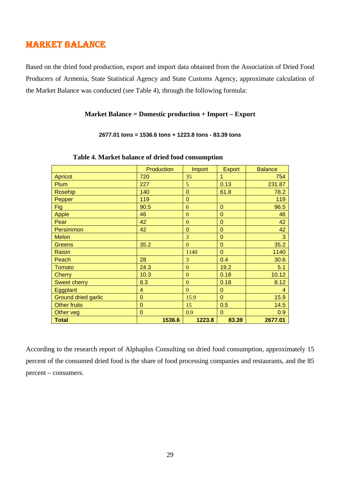# MARKET BALANCE

Based on the dried food production, export and import data obtained from the Association of Dried Food Producers of Armenia, State Statistical Agency and State Customs Agency, approximate calculation of the Market Balance was conducted (see Table 4), through the following formula:

#### **Market Balance = Domestic production + Import – Export**

#### **2677.01 tons = 1536.6 tons + 1223.8 tons - 83.39 tons**

|                            | Production     | <b>Import</b>  | <b>Export</b>  | <b>Balance</b> |
|----------------------------|----------------|----------------|----------------|----------------|
| <b>Apricot</b>             | 720            | 35             | 1              | 754            |
| Plum                       | 227            | 5              | 0.13           | 231.87         |
| <b>Rosehip</b>             | 140            | $\Omega$       | 61.8           | 78.2           |
| Pepper                     | 119            | $\Omega$       |                | 119            |
| Fig                        | 90.5           | 6              | $\mathbf 0$    | 96.5           |
| <b>Apple</b>               | 46             | $\overline{0}$ | 0              | 46             |
| Pear                       | 42             | $\mathbf{0}$   | $\mathbf 0$    | 42             |
| Persimmon                  | 42             | $\Omega$       | $\mathbf 0$    | 42             |
| <b>Melon</b>               |                | 3              | $\overline{0}$ | 3              |
| <b>Greens</b>              | 35.2           | $\mathbf{0}$   | $\mathbf 0$    | 35.2           |
| <b>Raisin</b>              |                | 1140           | $\overline{0}$ | 1140           |
| Peach                      | 28             | 3              | 0.4            | 30.6           |
| <b>Tomato</b>              | 24.3           | $\Omega$       | 19.2           | 5.1            |
| <b>Cherry</b>              | 10.3           | $\mathbf{0}$   | 0.18           | 10.12          |
| <b>Sweet cherry</b>        | 8.3            | $\mathbf{0}$   | 0.18           | 8.12           |
| Eggplant                   | 4              | $\Omega$       | 0              | 4              |
| <b>Ground dried garlic</b> | $\mathbf 0$    | 15.9           | $\Omega$       | 15.9           |
| <b>Other fruits</b>        | $\overline{0}$ | 15             | 0.5            | 14.5           |
| Other veg                  | $\mathbf 0$    | 0.9            | $\mathbf 0$    | 0.9            |
| <b>Total</b>               | 1536.6         | 1223.8         | 83.39          | 2677.01        |

#### **Table 4. Market balance of dried food consumption**

According to the research report of Alphaplus Consulting on dried food consumption, approximately 15 percent of the consumed dried food is the share of food processing companies and restaurants, and the 85 percent – consumers.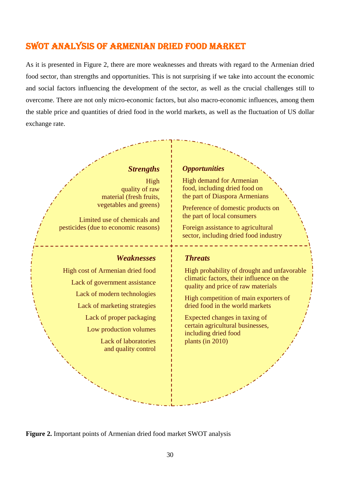# SWOT ANALYSIS OF ARMENIAN DRIED FOOD MARKET

As it is presented in Figure 2, there are more weaknesses and threats with regard to the Armenian dried food sector, than strengths and opportunities. This is not surprising if we take into account the economic and social factors influencing the development of the sector, as well as the crucial challenges still to overcome. There are not only micro-economic factors, but also macro-economic influences, among them the stable price and quantities of dried food in the world markets, as well as the fluctuation of US dollar exchange rate.

### *Strengths*

High quality of raw material (fresh fruits, vegetables and greens)

Limited use of chemicals and pesticides (due to economic reasons)

#### *Weaknesses*

High cost of Armenian dried food Lack of government assistance Lack of modern technologies Lack of marketing strategies Lack of proper packaging Low production volumes Lack of laboratories and quality control

#### *Opportunities*

High demand for Armenian food, including dried food on the part of Diaspora Armenians

Preference of domestic products on the part of local consumers

Foreign assistance to agricultural sector, including dried food industry

#### *Threats*

High probability of drought and unfavorable climatic factors, their influence on the quality and price of raw materials

High competition of main exporters of dried food in the world markets

Expected changes in taxing of certain agricultural businesses, including dried food plants (in 2010)

**Figure 2.** Important points of Armenian dried food market SWOT analysis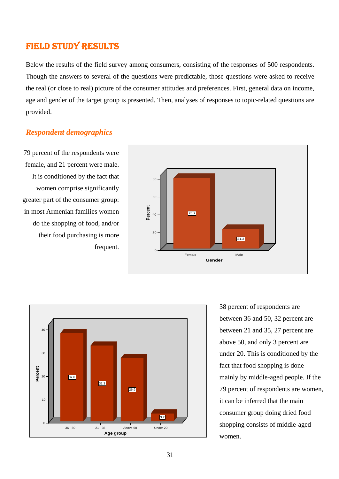# FIELD STUDY RESULTS

Below the results of the field survey among consumers, consisting of the responses of 500 respondents. Though the answers to several of the questions were predictable, those questions were asked to receive the real (or close to real) picture of the consumer attitudes and preferences. First, general data on income, age and gender of the target group is presented. Then, analyses of responses to topic-related questions are provided.

### *Respondent demographics*

79 percent of the respondents were female, and 21 percent were male. It is conditioned by the fact that women comprise significantly greater part of the consumer group: in most Armenian families women do the shopping of food, and/or their food purchasing is more frequent.





38 percent of respondents are between 36 and 50, 32 percent are between 21 and 35, 27 percent are above 50, and only 3 percent are under 20. This is conditioned by the fact that food shopping is done mainly by middle-aged people. If the 79 percent of respondents are women, it can be inferred that the main consumer group doing dried food shopping consists of middle-aged women.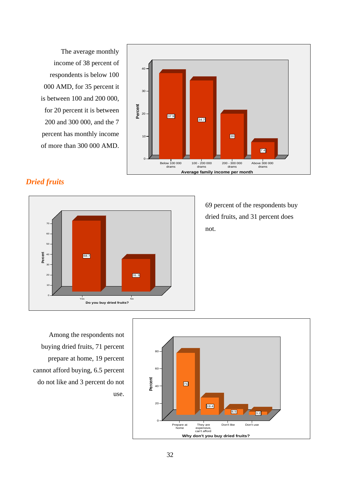The average monthly income of 38 percent of respondents is below 100 000 AMD, for 35 percent it is between 100 and 200 000, for 20 percent it is between 200 and 300 000, and the 7 percent has monthly income of more than 300 000 AMD.



### *Dried fruits*



69 percent of the respondents buy dried fruits, and 31 percent does not.

Among the respondents not buying dried fruits, 71 percent prepare at home, 19 percent cannot afford buying, 6.5 percent do not like and 3 percent do not use.

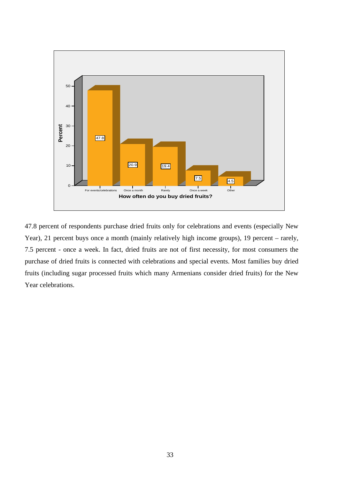

47.8 percent of respondents purchase dried fruits only for celebrations and events (especially New Year), 21 percent buys once a month (mainly relatively high income groups), 19 percent – rarely, 7.5 percent - once a week. In fact, dried fruits are not of first necessity, for most consumers the purchase of dried fruits is connected with celebrations and special events. Most families buy dried fruits (including sugar processed fruits which many Armenians consider dried fruits) for the New Year celebrations.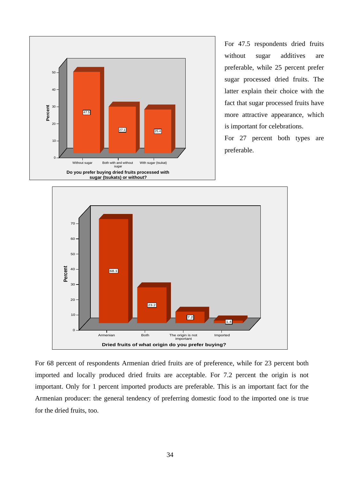

For 47.5 respondents dried fruits without sugar additives are preferable, while 25 percent prefer sugar processed dried fruits. The latter explain their choice with the fact that sugar processed fruits have more attractive appearance, which is important for celebrations.

For 27 percent both types are preferable.



For 68 percent of respondents Armenian dried fruits are of preference, while for 23 percent both imported and locally produced dried fruits are acceptable. For 7.2 percent the origin is not important. Only for 1 percent imported products are preferable. This is an important fact for the Armenian producer: the general tendency of preferring domestic food to the imported one is true for the dried fruits, too.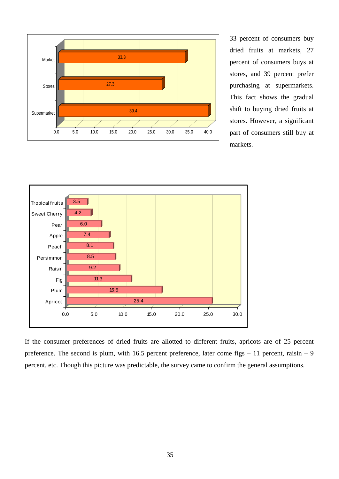

33 percent of consumers buy dried fruits at markets, 27 percent of consumers buys at stores, and 39 percent prefer purchasing at supermarkets. This fact shows the gradual shift to buying dried fruits at stores. However, a significant part of consumers still buy at markets.



If the consumer preferences of dried fruits are allotted to different fruits, apricots are of 25 percent preference. The second is plum, with 16.5 percent preference, later come figs  $-11$  percent, raisin  $-9$ percent, etc. Though this picture was predictable, the survey came to confirm the general assumptions.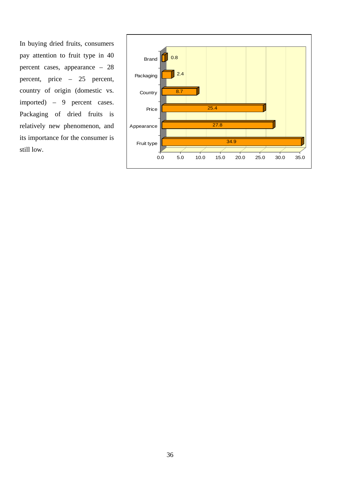In buying dried fruits, consumers pay attention to fruit type in 40 percent cases, appearance – 28 percent, price – 25 percent, country of origin (domestic vs. imported) – 9 percent cases. Packaging of dried fruits is relatively new phenomenon, and its importance for the consumer is still low.

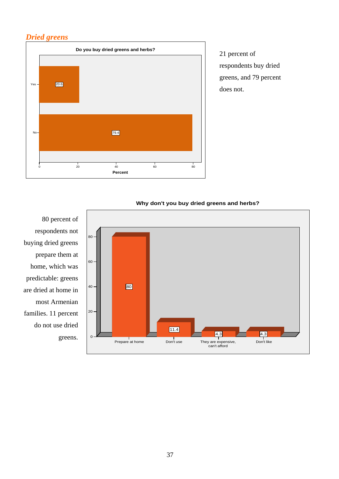### *Dried greens*



21 percent of respondents buy dried greens, and 79 percent does not.



#### **Why don't you buy dried greens and herbs?**

80 percent of respondents not buying dried greens prepare them at home, which was predictable: greens are dried at home in most Armenian families. 11 percent do not use dried greens.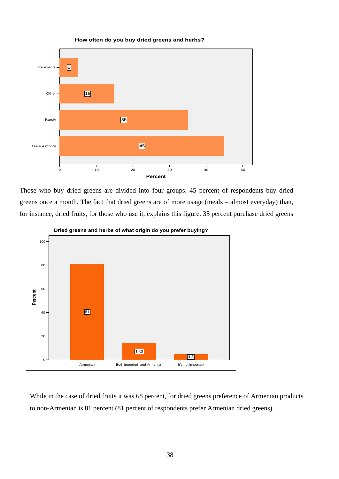

**How often do you buy dried greens and herbs?**

Those who buy dried greens are divided into four groups. 45 percent of respondents buy dried greens once a month. The fact that dried greens are of more usage (meals – almost everyday) than, for instance, dried fruits, for those who use it, explains this figure. 35 percent purchase dried greens



While in the case of dried fruits it was 68 percent, for dried greens preference of Armenian products to non-Armenian is 81 percent (81 percent of respondents prefer Armenian dried greens).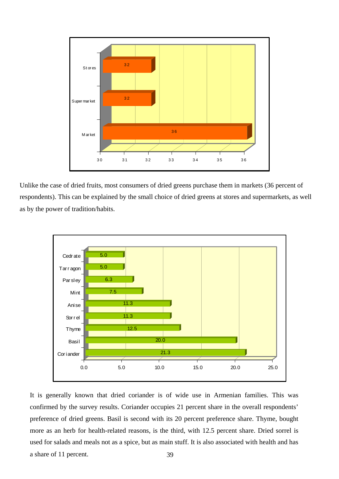

Unlike the case of dried fruits, most consumers of dried greens purchase them in markets (36 percent of respondents). This can be explained by the small choice of dried greens at stores and supermarkets, as well as by the power of tradition/habits.



39 It is generally known that dried coriander is of wide use in Armenian families. This was confirmed by the survey results. Coriander occupies 21 percent share in the overall respondents' preference of dried greens. Basil is second with its 20 percent preference share. Thyme, bought more as an herb for health-related reasons, is the third, with 12.5 percent share. Dried sorrel is used for salads and meals not as a spice, but as main stuff. It is also associated with health and has a share of 11 percent.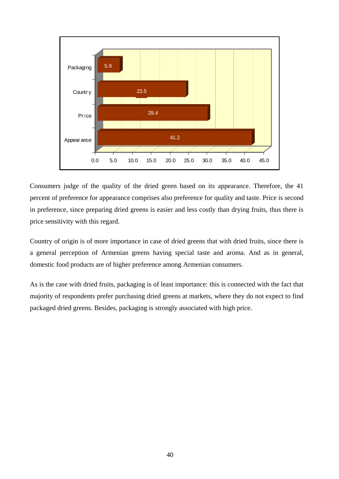

Consumers judge of the quality of the dried green based on its appearance. Therefore, the 41 percent of preference for appearance comprises also preference for quality and taste. Price is second in preference, since preparing dried greens is easier and less costly than drying fruits, thus there is price sensitivity with this regard.

Country of origin is of more importance in case of dried greens that with dried fruits, since there is a general perception of Armenian greens having special taste and aroma. And as in general, domestic food products are of higher preference among Armenian consumers.

As is the case with dried fruits, packaging is of least importance: this is connected with the fact that majority of respondents prefer purchasing dried greens at markets, where they do not expect to find packaged dried greens. Besides, packaging is strongly associated with high price.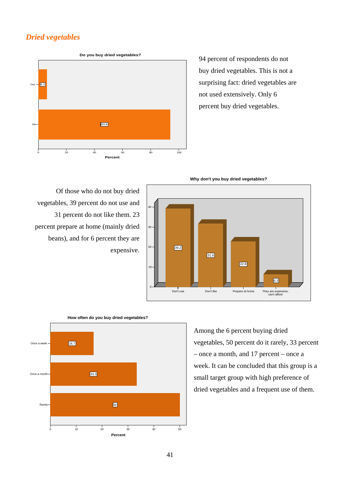### *Dried vegetables*



94 percent of respondents do not buy dried vegetables. This is not a surprising fact: dried vegetables are not used extensively. Only 6 percent buy dried vegetables.

**Why don't you buy dried vegetables?**

6.3 39.2 31.6 22.8  $40$ 30  $20 10<sup>1</sup>$ They are expensive, can't afford Don't like Prepare at home  $\overline{0}$ Don't use

Of those who do not buy dried vegetables, 39 percent do not use and 31 percent do not like them. 23 percent prepare at home (mainly dried beans), and for 6 percent they are expensive.



**How often do you buy dried vegetables?**

Among the 6 percent buying dried vegetables, 50 percent do it rarely, 33 percent – once a month, and 17 percent – once a week. It can be concluded that this group is a small target group with high preference of dried vegetables and a frequent use of them.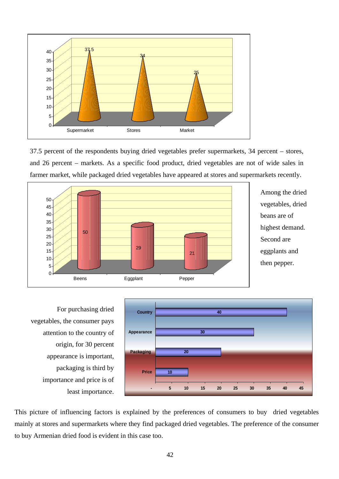

37.5 percent of the respondents buying dried vegetables prefer supermarkets, 34 percent – stores, and 26 percent – markets. As a specific food product, dried vegetables are not of wide sales in farmer market, while packaged dried vegetables have appeared at stores and supermarkets recently.



Among the dried vegetables, dried beans are of highest demand. Second are eggplants and then pepper.

For purchasing dried vegetables, the consumer pays attention to the country of origin, for 30 percent appearance is important, packaging is third by importance and price is of least importance.



This picture of influencing factors is explained by the preferences of consumers to buy dried vegetables mainly at stores and supermarkets where they find packaged dried vegetables. The preference of the consumer to buy Armenian dried food is evident in this case too.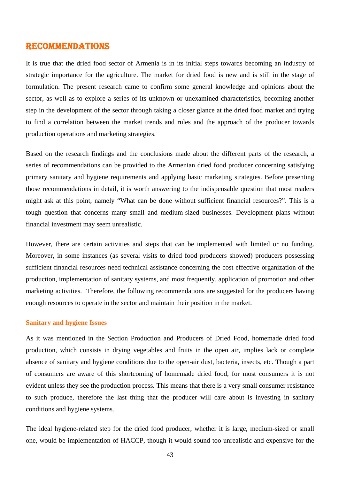#### RECOMMENDATIONS

It is true that the dried food sector of Armenia is in its initial steps towards becoming an industry of strategic importance for the agriculture. The market for dried food is new and is still in the stage of formulation. The present research came to confirm some general knowledge and opinions about the sector, as well as to explore a series of its unknown or unexamined characteristics, becoming another step in the development of the sector through taking a closer glance at the dried food market and trying to find a correlation between the market trends and rules and the approach of the producer towards production operations and marketing strategies.

Based on the research findings and the conclusions made about the different parts of the research, a series of recommendations can be provided to the Armenian dried food producer concerning satisfying primary sanitary and hygiene requirements and applying basic marketing strategies. Before presenting those recommendations in detail, it is worth answering to the indispensable question that most readers might ask at this point, namely "What can be done without sufficient financial resources?". This is a tough question that concerns many small and medium-sized businesses. Development plans without financial investment may seem unrealistic.

However, there are certain activities and steps that can be implemented with limited or no funding. Moreover, in some instances (as several visits to dried food producers showed) producers possessing sufficient financial resources need technical assistance concerning the cost effective organization of the production, implementation of sanitary systems, and most frequently, application of promotion and other marketing activities. Therefore, the following recommendations are suggested for the producers having enough resources to operate in the sector and maintain their position in the market.

#### **Sanitary and hygiene Issues**

As it was mentioned in the Section Production and Producers of Dried Food, homemade dried food production, which consists in drying vegetables and fruits in the open air, implies lack or complete absence of sanitary and hygiene conditions due to the open-air dust, bacteria, insects, etc. Though a part of consumers are aware of this shortcoming of homemade dried food, for most consumers it is not evident unless they see the production process. This means that there is a very small consumer resistance to such produce, therefore the last thing that the producer will care about is investing in sanitary conditions and hygiene systems.

The ideal hygiene-related step for the dried food producer, whether it is large, medium-sized or small one, would be implementation of HACCP, though it would sound too unrealistic and expensive for the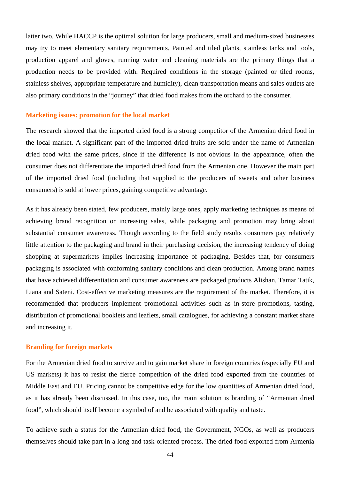latter two. While HACCP is the optimal solution for large producers, small and medium-sized businesses may try to meet elementary sanitary requirements. Painted and tiled plants, stainless tanks and tools, production apparel and gloves, running water and cleaning materials are the primary things that a production needs to be provided with. Required conditions in the storage (painted or tiled rooms, stainless shelves, appropriate temperature and humidity), clean transportation means and sales outlets are also primary conditions in the "journey" that dried food makes from the orchard to the consumer.

#### **Marketing issues: promotion for the local market**

The research showed that the imported dried food is a strong competitor of the Armenian dried food in the local market. A significant part of the imported dried fruits are sold under the name of Armenian dried food with the same prices, since if the difference is not obvious in the appearance, often the consumer does not differentiate the imported dried food from the Armenian one. However the main part of the imported dried food (including that supplied to the producers of sweets and other business consumers) is sold at lower prices, gaining competitive advantage.

As it has already been stated, few producers, mainly large ones, apply marketing techniques as means of achieving brand recognition or increasing sales, while packaging and promotion may bring about substantial consumer awareness. Though according to the field study results consumers pay relatively little attention to the packaging and brand in their purchasing decision, the increasing tendency of doing shopping at supermarkets implies increasing importance of packaging. Besides that, for consumers packaging is associated with conforming sanitary conditions and clean production. Among brand names that have achieved differentiation and consumer awareness are packaged products Alishan, Tamar Tatik, Liana and Sateni. Cost-effective marketing measures are the requirement of the market. Therefore, it is recommended that producers implement promotional activities such as in-store promotions, tasting, distribution of promotional booklets and leaflets, small catalogues, for achieving a constant market share and increasing it.

#### **Branding for foreign markets**

For the Armenian dried food to survive and to gain market share in foreign countries (especially EU and US markets) it has to resist the fierce competition of the dried food exported from the countries of Middle East and EU. Pricing cannot be competitive edge for the low quantities of Armenian dried food, as it has already been discussed. In this case, too, the main solution is branding of "Armenian dried food", which should itself become a symbol of and be associated with quality and taste.

To achieve such a status for the Armenian dried food, the Government, NGOs, as well as producers themselves should take part in a long and task-oriented process. The dried food exported from Armenia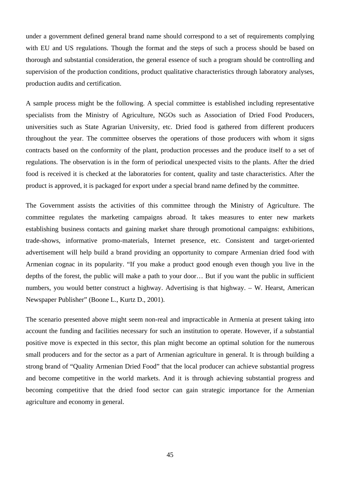under a government defined general brand name should correspond to a set of requirements complying with EU and US regulations. Though the format and the steps of such a process should be based on thorough and substantial consideration, the general essence of such a program should be controlling and supervision of the production conditions, product qualitative characteristics through laboratory analyses, production audits and certification.

A sample process might be the following. A special committee is established including representative specialists from the Ministry of Agriculture, NGOs such as Association of Dried Food Producers, universities such as State Agrarian University, etc. Dried food is gathered from different producers throughout the year. The committee observes the operations of those producers with whom it signs contracts based on the conformity of the plant, production processes and the produce itself to a set of regulations. The observation is in the form of periodical unexpected visits to the plants. After the dried food is received it is checked at the laboratories for content, quality and taste characteristics. After the product is approved, it is packaged for export under a special brand name defined by the committee.

The Government assists the activities of this committee through the Ministry of Agriculture. The committee regulates the marketing campaigns abroad. It takes measures to enter new markets establishing business contacts and gaining market share through promotional campaigns: exhibitions, trade-shows, informative promo-materials, Internet presence, etc. Consistent and target-oriented advertisement will help build a brand providing an opportunity to compare Armenian dried food with Armenian cognac in its popularity. "If you make a product good enough even though you live in the depths of the forest, the public will make a path to your door… But if you want the public in sufficient numbers, you would better construct a highway. Advertising is that highway. – W. Hearst, American Newspaper Publisher" (Boone L., Kurtz D., 2001).

The scenario presented above might seem non-real and impracticable in Armenia at present taking into account the funding and facilities necessary for such an institution to operate. However, if a substantial positive move is expected in this sector, this plan might become an optimal solution for the numerous small producers and for the sector as a part of Armenian agriculture in general. It is through building a strong brand of "Quality Armenian Dried Food" that the local producer can achieve substantial progress and become competitive in the world markets. And it is through achieving substantial progress and becoming competitive that the dried food sector can gain strategic importance for the Armenian agriculture and economy in general.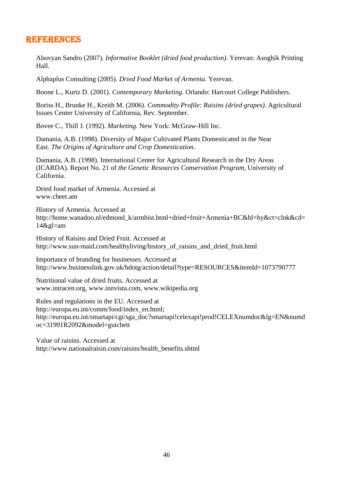## REFERENCES

Abovyan Sandro (2007). *Informative Booklet (dried food production).* Yerevan: Asoghik Printing Hall.

Alphaplus Consulting (2005). *Dried Food Market of Armenia*. Yerevan.

Boone L., Kurtz D. (2001). *Contemporary Marketing*. Orlando: Harcourt College Publishers.

Boriss H., Brunke H., Kreith M. (2006). *Commodity Profile: Raisins (dried grapes)*. Agricultural Issues Center University of California, Rev. September.

Bovee C., Thill J. (1992). *Marketing*. New York: McGraw-Hill Inc.

Damania, A.B. (1998). Diversity of Major Cultivated Plants Domesticated in the Near East. *The Origins of Agriculture and Crop Domestication.* 

Damania, A.B. (1998). International Center for Agricultural Research in the Dry Areas (ICARDA). Report No. 21 of *the Genetic Resources Conservation Program*, University of California.

Dried food market of Armenia. Accessed at www.cheer.am

History of Armenia. Accessed at http://home.wanadoo.nl/edmond\_k/armhist.html+dried+fruit+Armenia+BC&hl=hy&ct=clnk&cd= 14&gl=am

History of Raisins and Dried Fruit. Accessed at http://www.sun-maid.com/healthyliving/history\_of\_raisins\_and\_dried\_fruit.html

Importance of branding for businesses. Accessed at http://www.businesslink.gov.uk/bdotg/action/detail?type=RESOURCES&itemId=1073790777

Nutritional value of dried fruits. Accessed at www.intracen.org, www.innvista.com, www.wikipedia.org

Rules and regulations in the EU. Accessed at http://europa.eu.int/comm/food/index\_en.html; http://europa.eu.int/smartapi/cgi/sga\_doc?smartapi!celexapi!prod!CELEXnumdoc&lg=EN&numd oc=31991R2092&model=guichett

Value of raisins. Accessed at http://www.nationalraisin.com/raisins/health\_benefits.shtml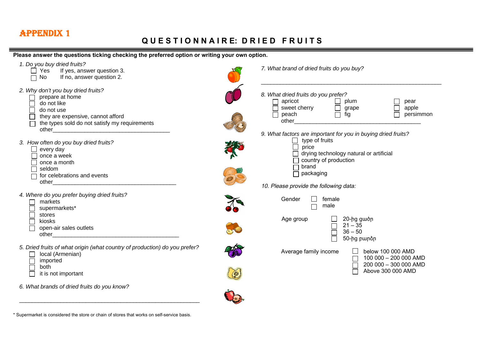# APPENDIX 1

## **Q U E S T I O N N A I R E: D R I E D F R U I T S**

#### **Please answer the questions ticking checking the preferred option or writing your own option.**



 $\Box$  Above 300 000 AMD

*6. What brands of dried fruits do you know?* 

it is not important

\* Supermarket is considered the store or chain of stores that works on self-service basis.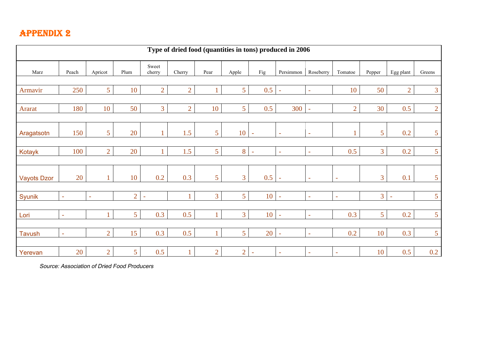# APPENDIX 2

| Type of dried food (quantities in tons) produced in 2006 |        |                |                |                 |                |                |                |                          |                          |                          |                          |                |                          |                 |
|----------------------------------------------------------|--------|----------------|----------------|-----------------|----------------|----------------|----------------|--------------------------|--------------------------|--------------------------|--------------------------|----------------|--------------------------|-----------------|
| Marz                                                     | Peach  | Apricot        | Plum           | Sweet<br>cherry | Cherry         | Pear           | Apple          | Fig                      | Persimmon                | Roseberry                | Tomatoe                  | Pepper         | Egg plant                | Greens          |
| Armavir                                                  | 250    | 5 <sup>5</sup> | 10             | $\overline{2}$  | $\overline{2}$ |                | 5 <sup>1</sup> | 0.5                      | $\equiv$                 | $\omega$                 | 10                       | 50             | $\overline{2}$           | $\overline{3}$  |
| Ararat                                                   | 180    | 10             | 50             | $\overline{3}$  | $\overline{2}$ | 10             | 5 <sup>7</sup> | 0.5                      | 300                      | $\equiv$                 | $\overline{2}$           | 30             | 0.5                      | $\overline{2}$  |
| Aragatsotn                                               | 150    | 5 <sup>5</sup> | 20             | $\mathbf{1}$    | 1.5            | 5 <sup>5</sup> | 10             | $\bar{\phantom{a}}$      | $\sim$                   | $\equiv$                 |                          | 5 <sup>5</sup> | 0.2                      | 5 <sup>5</sup>  |
| Kotayk                                                   | 100    | $\overline{2}$ | 20             | $\mathbf{1}$    | 1.5            | 5 <sup>5</sup> | 8              | $\equiv$                 | $\equiv$                 | $\overline{\phantom{a}}$ | 0.5                      | $\overline{3}$ | 0.2                      | $5\overline{)}$ |
| <b>Vayots Dzor</b>                                       | 20     | $\mathbf{1}$   | 10             | 0.2             | 0.3            | 5 <sup>5</sup> | $\overline{3}$ | 0.5                      | $\bar{\phantom{a}}$      | $\overline{a}$           | $\overline{\phantom{a}}$ | $\overline{3}$ | 0.1                      | $5\overline{)}$ |
| Syunik                                                   | $\sim$ | $\sim$         | $\overline{2}$ | $\equiv$        | 1              | $\overline{3}$ | 5 <sup>1</sup> | 10                       | $\blacksquare$           | $\overline{a}$           | $\overline{\phantom{a}}$ | 3 <sup>1</sup> | $\overline{\phantom{a}}$ | $5\overline{)}$ |
| Lori                                                     | $\sim$ | $\mathbf{1}$   | 5 <sup>1</sup> | 0.3             | 0.5            |                | 3 <sup>7</sup> | 10                       | $\overline{\phantom{a}}$ | $\mathbf{r}$             | 0.3                      | 5 <sup>5</sup> | 0.2                      | $5\overline{)}$ |
| <b>Tavush</b>                                            | ÷.     | $\overline{2}$ | 15             | 0.3             | 0.5            |                | 5 <sup>1</sup> | 20                       | $\equiv$                 | $\equiv$                 | 0.2                      | 10             | 0.3                      | $5\overline{)}$ |
| Yerevan                                                  | 20     | $\overline{2}$ | 5 <sup>1</sup> | 0.5             | 1              | $\overline{2}$ | $\overline{2}$ | $\overline{\phantom{a}}$ | $\bar{a}$                | $\overline{\phantom{a}}$ | $\overline{\phantom{a}}$ | 10             | 0.5                      | 0.2             |

*Source: Association of Dried Food Producers*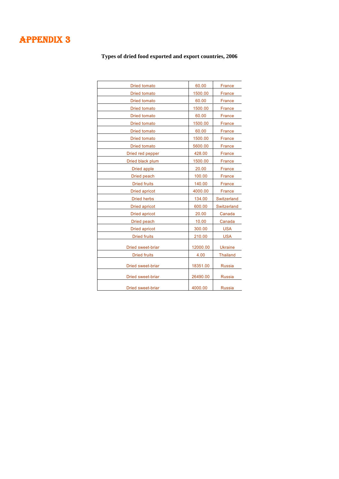# APPENDIX 3

**Types of dried food exported and export countries, 2006** 

| <b>Dried tomato</b>  | 60.00    | France          |
|----------------------|----------|-----------------|
| <b>Dried tomato</b>  | 1500.00  | France          |
| <b>Dried tomato</b>  | 60.00    | <b>France</b>   |
| <b>Dried tomato</b>  | 1500.00  | France          |
| <b>Dried tomato</b>  | 60.00    | France          |
| <b>Dried tomato</b>  | 1500.00  | <b>France</b>   |
| <b>Dried tomato</b>  | 60.00    | France          |
| <b>Dried tomato</b>  | 1500.00  | France          |
| <b>Dried tomato</b>  | 5600.00  | France          |
| Dried red pepper     | 428.00   | <b>France</b>   |
| Dried black plum     | 1500.00  | France          |
| Dried apple          | 20.00    | France          |
| Dried peach          | 100.00   | France          |
| <b>Dried fruits</b>  | 140.00   | France          |
| <b>Dried apricot</b> | 4000.00  | France          |
| <b>Dried herbs</b>   | 134.00   | Switzerland     |
| Dried apricot        | 600.00   | Switzerland     |
| <b>Dried apricot</b> | 20.00    | Canada          |
| Dried peach          | 10.00    | Canada          |
| <b>Dried apricot</b> | 300.00   | <b>USA</b>      |
| <b>Dried fruits</b>  | 210.00   | <b>USA</b>      |
| Dried sweet-briar    | 12000.00 | <b>Ukraine</b>  |
| <b>Dried fruits</b>  | 4.00     | <b>Thailand</b> |
| Dried sweet-briar    | 18351.00 | <b>Russia</b>   |
| Dried sweet-briar    | 26490.00 | <b>Russia</b>   |
| Dried sweet-briar    | 4000.00  | <b>Russia</b>   |